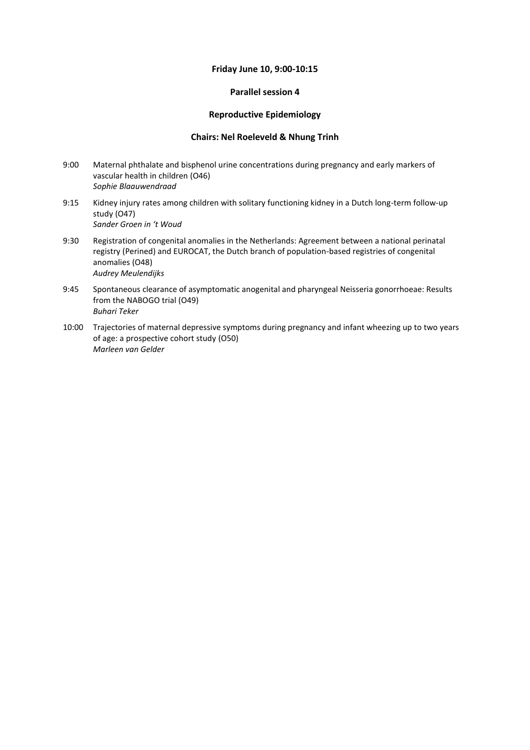#### **Friday June 10, 9:00-10:15**

### **Parallel session 4**

### **Reproductive Epidemiology**

#### **Chairs: Nel Roeleveld & Nhung Trinh**

- 9:00 Maternal phthalate and bisphenol urine concentrations during pregnancy and early markers of vascular health in children (O46) *Sophie Blaauwendraad*
- 9:15 Kidney injury rates among children with solitary functioning kidney in a Dutch long-term follow-up study (O47) *Sander Groen in 't Woud*
- 9:30 Registration of congenital anomalies in the Netherlands: Agreement between a national perinatal registry (Perined) and EUROCAT, the Dutch branch of population-based registries of congenital anomalies (O48) *Audrey Meulendijks*
- 9:45 Spontaneous clearance of asymptomatic anogenital and pharyngeal Neisseria gonorrhoeae: Results from the NABOGO trial (O49) *Buhari Teker*
- 10:00 Trajectories of maternal depressive symptoms during pregnancy and infant wheezing up to two years of age: a prospective cohort study (O50) *Marleen van Gelder*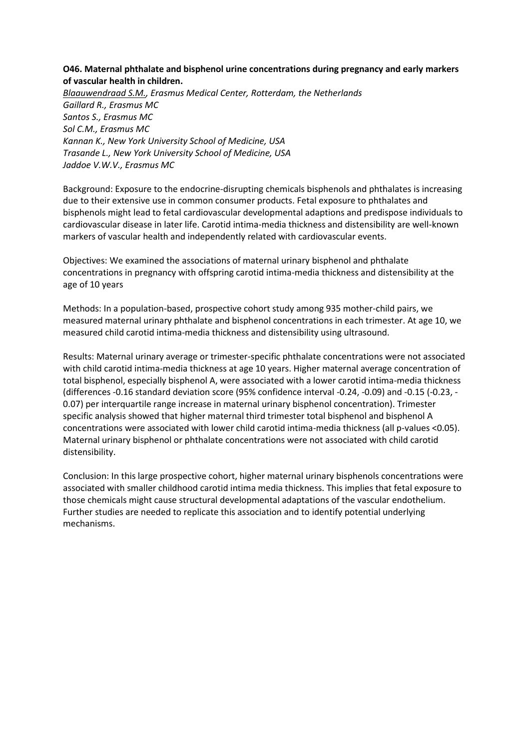## **O46. Maternal phthalate and bisphenol urine concentrations during pregnancy and early markers of vascular health in children.**

*Blaauwendraad S.M., Erasmus Medical Center, Rotterdam, the Netherlands Gaillard R., Erasmus MC Santos S., Erasmus MC Sol C.M., Erasmus MC Kannan K., New York University School of Medicine, USA Trasande L., New York University School of Medicine, USA Jaddoe V.W.V., Erasmus MC*

Background: Exposure to the endocrine-disrupting chemicals bisphenols and phthalates is increasing due to their extensive use in common consumer products. Fetal exposure to phthalates and bisphenols might lead to fetal cardiovascular developmental adaptions and predispose individuals to cardiovascular disease in later life. Carotid intima-media thickness and distensibility are well-known markers of vascular health and independently related with cardiovascular events.

Objectives: We examined the associations of maternal urinary bisphenol and phthalate concentrations in pregnancy with offspring carotid intima-media thickness and distensibility at the age of 10 years

Methods: In a population-based, prospective cohort study among 935 mother-child pairs, we measured maternal urinary phthalate and bisphenol concentrations in each trimester. At age 10, we measured child carotid intima-media thickness and distensibility using ultrasound.

Results: Maternal urinary average or trimester-specific phthalate concentrations were not associated with child carotid intima-media thickness at age 10 years. Higher maternal average concentration of total bisphenol, especially bisphenol A, were associated with a lower carotid intima-media thickness (differences -0.16 standard deviation score (95% confidence interval -0.24, -0.09) and -0.15 (-0.23, - 0.07) per interquartile range increase in maternal urinary bisphenol concentration). Trimester specific analysis showed that higher maternal third trimester total bisphenol and bisphenol A concentrations were associated with lower child carotid intima-media thickness (all p-values <0.05). Maternal urinary bisphenol or phthalate concentrations were not associated with child carotid distensibility.

Conclusion: In this large prospective cohort, higher maternal urinary bisphenols concentrations were associated with smaller childhood carotid intima media thickness. This implies that fetal exposure to those chemicals might cause structural developmental adaptations of the vascular endothelium. Further studies are needed to replicate this association and to identify potential underlying mechanisms.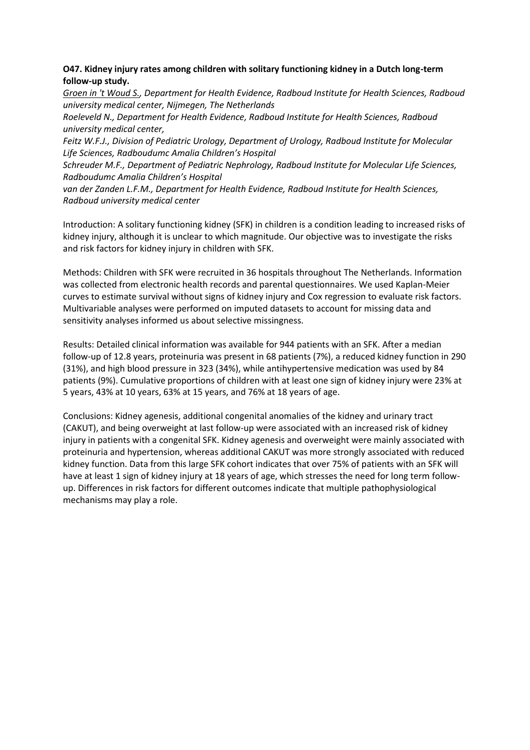# **O47. Kidney injury rates among children with solitary functioning kidney in a Dutch long-term follow-up study.**

*Groen in 't Woud S., Department for Health Evidence, Radboud Institute for Health Sciences, Radboud university medical center, Nijmegen, The Netherlands*

*Roeleveld N., Department for Health Evidence, Radboud Institute for Health Sciences, Radboud university medical center,* 

*Feitz W.F.J., Division of Pediatric Urology, Department of Urology, Radboud Institute for Molecular Life Sciences, Radboudumc Amalia Children's Hospital*

*Schreuder M.F., Department of Pediatric Nephrology, Radboud Institute for Molecular Life Sciences, Radboudumc Amalia Children's Hospital*

*van der Zanden L.F.M., Department for Health Evidence, Radboud Institute for Health Sciences, Radboud university medical center*

Introduction: A solitary functioning kidney (SFK) in children is a condition leading to increased risks of kidney injury, although it is unclear to which magnitude. Our objective was to investigate the risks and risk factors for kidney injury in children with SFK.

Methods: Children with SFK were recruited in 36 hospitals throughout The Netherlands. Information was collected from electronic health records and parental questionnaires. We used Kaplan-Meier curves to estimate survival without signs of kidney injury and Cox regression to evaluate risk factors. Multivariable analyses were performed on imputed datasets to account for missing data and sensitivity analyses informed us about selective missingness.

Results: Detailed clinical information was available for 944 patients with an SFK. After a median follow-up of 12.8 years, proteinuria was present in 68 patients (7%), a reduced kidney function in 290 (31%), and high blood pressure in 323 (34%), while antihypertensive medication was used by 84 patients (9%). Cumulative proportions of children with at least one sign of kidney injury were 23% at 5 years, 43% at 10 years, 63% at 15 years, and 76% at 18 years of age.

Conclusions: Kidney agenesis, additional congenital anomalies of the kidney and urinary tract (CAKUT), and being overweight at last follow-up were associated with an increased risk of kidney injury in patients with a congenital SFK. Kidney agenesis and overweight were mainly associated with proteinuria and hypertension, whereas additional CAKUT was more strongly associated with reduced kidney function. Data from this large SFK cohort indicates that over 75% of patients with an SFK will have at least 1 sign of kidney injury at 18 years of age, which stresses the need for long term followup. Differences in risk factors for different outcomes indicate that multiple pathophysiological mechanisms may play a role.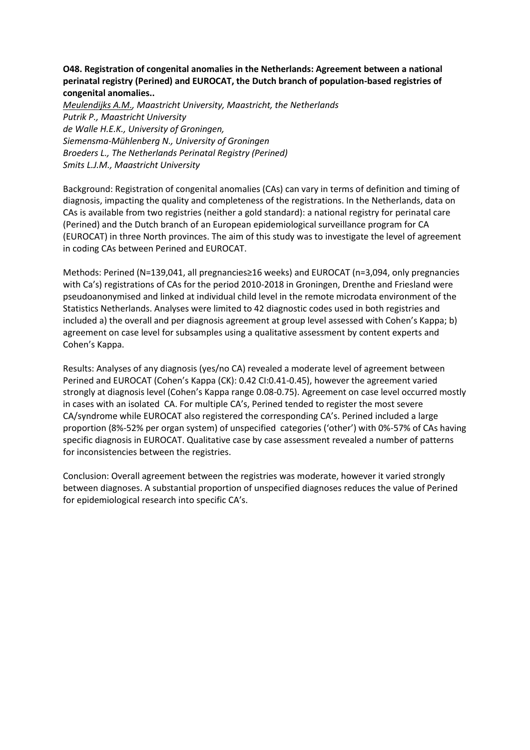# **O48. Registration of congenital anomalies in the Netherlands: Agreement between a national perinatal registry (Perined) and EUROCAT, the Dutch branch of population-based registries of congenital anomalies..**

*Meulendijks A.M., Maastricht University, Maastricht, the Netherlands Putrik P., Maastricht University de Walle H.E.K., University of Groningen, Siemensma-Mühlenberg N., University of Groningen Broeders L., The Netherlands Perinatal Registry (Perined) Smits L.J.M., Maastricht University*

Background: Registration of congenital anomalies (CAs) can vary in terms of definition and timing of diagnosis, impacting the quality and completeness of the registrations. In the Netherlands, data on CAs is available from two registries (neither a gold standard): a national registry for perinatal care (Perined) and the Dutch branch of an European epidemiological surveillance program for CA (EUROCAT) in three North provinces. The aim of this study was to investigate the level of agreement in coding CAs between Perined and EUROCAT.

Methods: Perined (N=139,041, all pregnancies≥16 weeks) and EUROCAT (n=3,094, only pregnancies with Ca's) registrations of CAs for the period 2010-2018 in Groningen, Drenthe and Friesland were pseudoanonymised and linked at individual child level in the remote microdata environment of the Statistics Netherlands. Analyses were limited to 42 diagnostic codes used in both registries and included a) the overall and per diagnosis agreement at group level assessed with Cohen's Kappa; b) agreement on case level for subsamples using a qualitative assessment by content experts and Cohen's Kappa.

Results: Analyses of any diagnosis (yes/no CA) revealed a moderate level of agreement between Perined and EUROCAT (Cohen's Kappa (CK): 0.42 CI:0.41-0.45), however the agreement varied strongly at diagnosis level (Cohen's Kappa range 0.08-0.75). Agreement on case level occurred mostly in cases with an isolated CA. For multiple CA's, Perined tended to register the most severe CA/syndrome while EUROCAT also registered the corresponding CA's. Perined included a large proportion (8%-52% per organ system) of unspecified categories ('other') with 0%-57% of CAs having specific diagnosis in EUROCAT. Qualitative case by case assessment revealed a number of patterns for inconsistencies between the registries.

Conclusion: Overall agreement between the registries was moderate, however it varied strongly between diagnoses. A substantial proportion of unspecified diagnoses reduces the value of Perined for epidemiological research into specific CA's.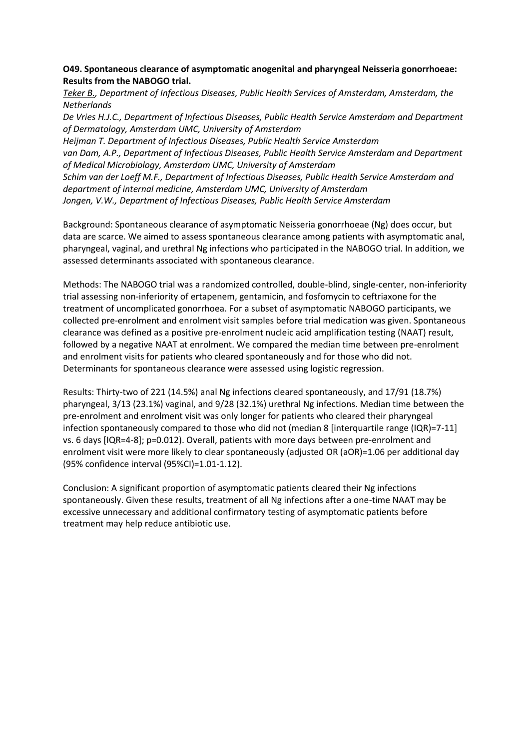## **O49. Spontaneous clearance of asymptomatic anogenital and pharyngeal Neisseria gonorrhoeae: Results from the NABOGO trial.**

*Teker B., Department of Infectious Diseases, Public Health Services of Amsterdam, Amsterdam, the Netherlands*

*De Vries H.J.C., Department of Infectious Diseases, Public Health Service Amsterdam and Department of Dermatology, Amsterdam UMC, University of Amsterdam*

*Heijman T. Department of Infectious Diseases, Public Health Service Amsterdam van Dam, A.P., Department of Infectious Diseases, Public Health Service Amsterdam and Department of Medical Microbiology, Amsterdam UMC, University of Amsterdam Schim van der Loeff M.F., Department of Infectious Diseases, Public Health Service Amsterdam and department of internal medicine, Amsterdam UMC, University of Amsterdam Jongen, V.W., Department of Infectious Diseases, Public Health Service Amsterdam*

Background: Spontaneous clearance of asymptomatic Neisseria gonorrhoeae (Ng) does occur, but data are scarce. We aimed to assess spontaneous clearance among patients with asymptomatic anal, pharyngeal, vaginal, and urethral Ng infections who participated in the NABOGO trial. In addition, we assessed determinants associated with spontaneous clearance.

Methods: The NABOGO trial was a randomized controlled, double-blind, single-center, non-inferiority trial assessing non-inferiority of ertapenem, gentamicin, and fosfomycin to ceftriaxone for the treatment of uncomplicated gonorrhoea. For a subset of asymptomatic NABOGO participants, we collected pre-enrolment and enrolment visit samples before trial medication was given. Spontaneous clearance was defined as a positive pre-enrolment nucleic acid amplification testing (NAAT) result, followed by a negative NAAT at enrolment. We compared the median time between pre-enrolment and enrolment visits for patients who cleared spontaneously and for those who did not. Determinants for spontaneous clearance were assessed using logistic regression.

Results: Thirty-two of 221 (14.5%) anal Ng infections cleared spontaneously, and 17/91 (18.7%) pharyngeal, 3/13 (23.1%) vaginal, and 9/28 (32.1%) urethral Ng infections. Median time between the pre-enrolment and enrolment visit was only longer for patients who cleared their pharyngeal infection spontaneously compared to those who did not (median 8 [interquartile range (IQR)=7-11] vs. 6 days [IQR=4-8]; p=0.012). Overall, patients with more days between pre-enrolment and enrolment visit were more likely to clear spontaneously (adjusted OR (aOR)=1.06 per additional day (95% confidence interval (95%CI)=1.01-1.12).

Conclusion: A significant proportion of asymptomatic patients cleared their Ng infections spontaneously. Given these results, treatment of all Ng infections after a one-time NAAT may be excessive unnecessary and additional confirmatory testing of asymptomatic patients before treatment may help reduce antibiotic use.